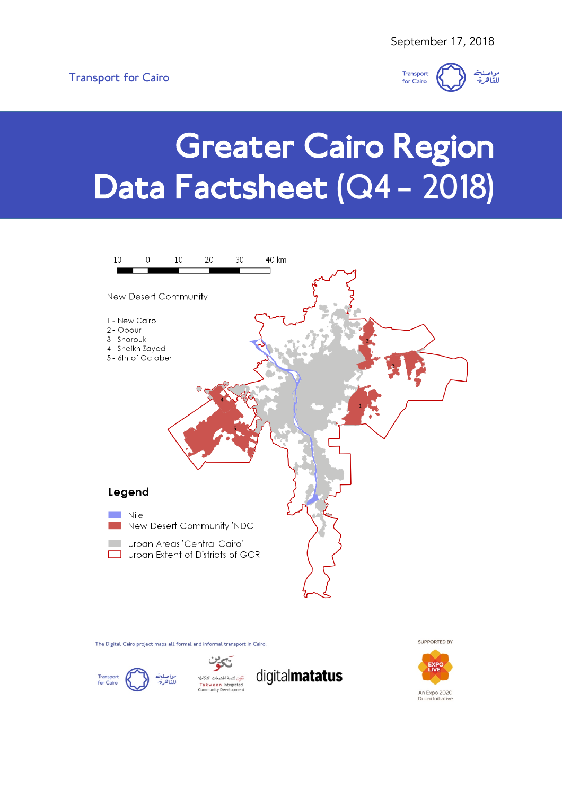

# Greater Cairo Region Data Factsheet (Q4 – 2018)



The Digital Cairo project maps all formal and informal transport in Cairo.



.<br>نكوىن لتنمية المجتمعات المتكاملة Takween Integrated





SUPPORTED BY

Dubai Initiative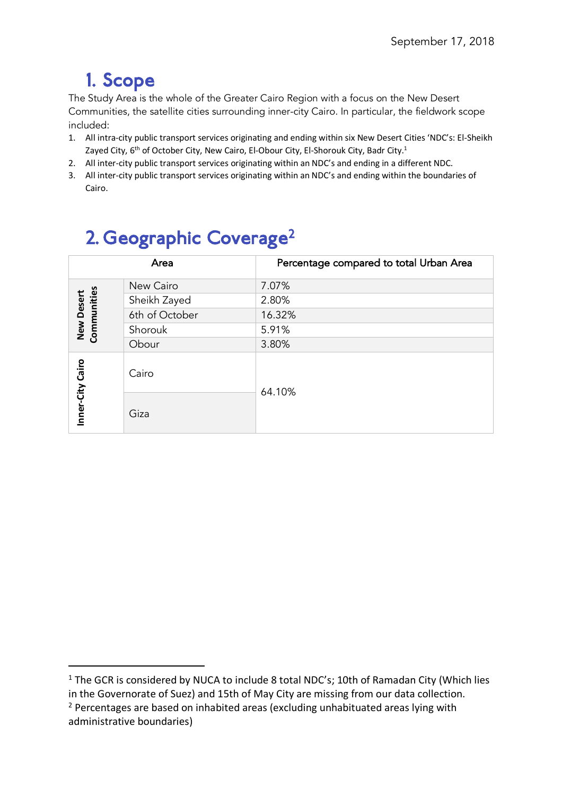## 1. Scope

The Study Area is the whole of the Greater Cairo Region with a focus on the New Desert Communities, the satellite cities surrounding inner-city Cairo. In particular, the fieldwork scope included:

- 1. All intra-city public transport services originating and ending within six New Desert Cities 'NDC's: El-Sheikh Zayed City, 6<sup>th</sup> of October City, New Cairo, El-Obour City, El-Shorouk City, Badr City.<sup>1</sup>
- 2. All inter-city public transport services originating within an NDC's and ending in a different NDC.
- 3. All inter-city public transport services originating within an NDC's and ending within the boundaries of Cairo.

| Z. Geographic Coverage- |                           |                |                                         |  |
|-------------------------|---------------------------|----------------|-----------------------------------------|--|
|                         | Area                      |                | Percentage compared to total Urban Area |  |
|                         |                           | New Cairo      | 7.07%                                   |  |
|                         |                           | Sheikh Zayed   | 2.80%                                   |  |
|                         |                           | 6th of October | 16.32%                                  |  |
|                         | New Desert<br>Communities | Shorouk        | 5.91%                                   |  |
|                         |                           | Obour          | 3.80%                                   |  |
|                         | Inner-City Cairo          | Cairo          | 64.10%                                  |  |
|                         |                           | Giza           |                                         |  |

## $2.6$  Geographic  $C_{\text{a}}$

<sup>&</sup>lt;sup>1</sup> The GCR is considered by NUCA to include 8 total NDC's; 10th of Ramadan City (Which lies in the Governorate of Suez) and 15th of May City are missing from our data collection.

 $2$  Percentages are based on inhabited areas (excluding unhabituated areas lying with administrative boundaries)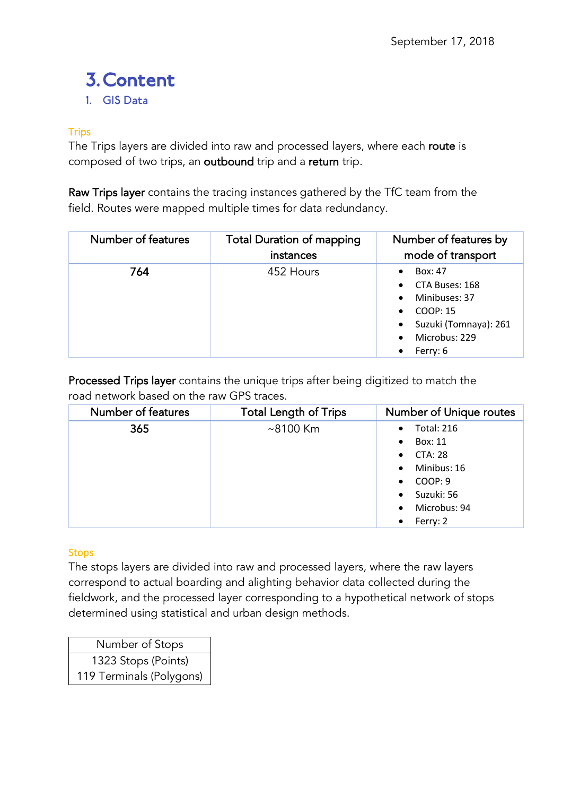## **3. Content**<br>1. GIS Data

#### **Trips**

The Trips layers are divided into raw and processed layers, where each route is composed of two trips, an outbound trip and a return trip.

Raw Trips layer contains the tracing instances gathered by the TfC team from the field. Routes were mapped multiple times for data redundancy.

| Number of features | <b>Total Duration of mapping</b><br>instances | Number of features by<br>mode of transport                                                                                             |
|--------------------|-----------------------------------------------|----------------------------------------------------------------------------------------------------------------------------------------|
| 764                | 452 Hours                                     | Box: 47<br>CTA Buses: 168<br>Minibuses: 37<br>COOP: 15<br>$\bullet$<br>Suzuki (Tomnaya): 261<br>$\bullet$<br>Microbus: 229<br>Ferry: 6 |

Processed Trips layer contains the unique trips after being digitized to match the road network based on the raw GPS traces.

| Number of features | <b>Total Length of Trips</b> | Number of Unique routes        |
|--------------------|------------------------------|--------------------------------|
| 365                | $~8100$ Km                   | <b>Total: 216</b><br>$\bullet$ |
|                    |                              | Box: 11<br>$\bullet$           |
|                    |                              | <b>CTA: 28</b><br>$\bullet$    |
|                    |                              | Minibus: 16<br>$\bullet$       |
|                    |                              | COOP: 9<br>$\bullet$           |
|                    |                              | Suzuki: 56<br>$\bullet$        |
|                    |                              | Microbus: 94<br>$\bullet$      |
|                    |                              | Ferry: 2<br>$\bullet$          |

#### **Stops**

The stops layers are divided into raw and processed layers, where the raw layers correspond to actual boarding and alighting behavior data collected during the fieldwork, and the processed layer corresponding to a hypothetical network of stops determined using statistical and urban design methods.

Number of Stops 1323 Stops (Points) 119 Terminals (Polygons)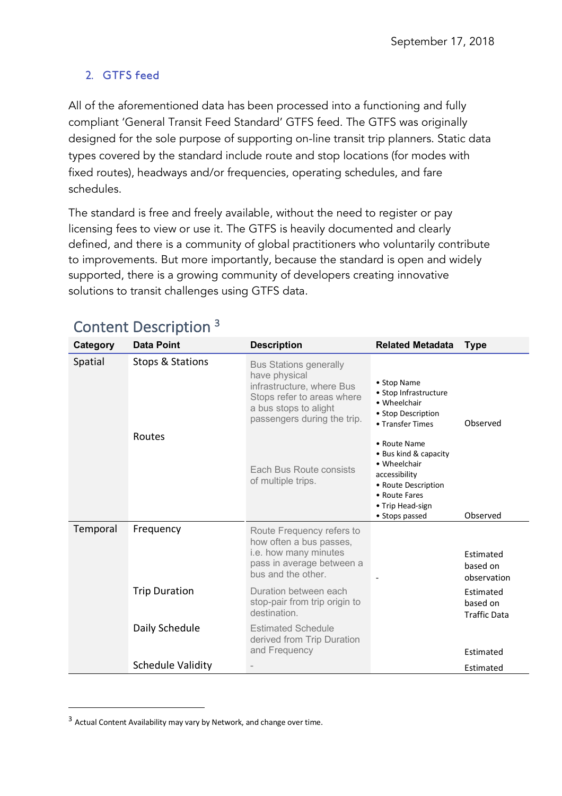#### 2. GTFS feed

All of the aforementioned data has been processed into a functioning and fully compliant 'General Transit Feed Standard' GTFS feed. The GTFS was originally designed for the sole purpose of supporting on-line transit trip planners. Static data types covered by the standard include route and stop locations (for modes with fixed routes), headways and/or frequencies, operating schedules, and fare schedules.

The standard is free and freely available, without the need to register or pay licensing fees to view or use it. The GTFS is heavily documented and clearly defined, and there is a community of global practitioners who voluntarily contribute to improvements. But more importantly, because the standard is open and widely supported, there is a growing community of developers creating innovative solutions to transit challenges using GTFS data.

| Category | <b>Data Point</b>        | <b>Description</b>                                                                                                                                                | <b>Related Metadata</b>                                                                                                                              | <b>Type</b>                                  |
|----------|--------------------------|-------------------------------------------------------------------------------------------------------------------------------------------------------------------|------------------------------------------------------------------------------------------------------------------------------------------------------|----------------------------------------------|
| Spatial  | Stops & Stations         | <b>Bus Stations generally</b><br>have physical<br>infrastructure, where Bus<br>Stops refer to areas where<br>a bus stops to alight<br>passengers during the trip. | • Stop Name<br>• Stop Infrastructure<br>• Wheelchair<br>• Stop Description<br>• Transfer Times                                                       | Observed                                     |
|          | <b>Routes</b>            | Each Bus Route consists<br>of multiple trips.                                                                                                                     | • Route Name<br>• Bus kind & capacity<br>• Wheelchair<br>accessibility<br>• Route Description<br>• Route Fares<br>• Trip Head-sign<br>• Stops passed | Observed                                     |
| Temporal | Frequency                | Route Frequency refers to<br>how often a bus passes,<br>i.e. how many minutes<br>pass in average between a<br>bus and the other.                                  |                                                                                                                                                      | Estimated<br>based on<br>observation         |
|          | <b>Trip Duration</b>     | Duration between each<br>stop-pair from trip origin to<br>destination.                                                                                            |                                                                                                                                                      | Estimated<br>based on<br><b>Traffic Data</b> |
|          | Daily Schedule           | <b>Estimated Schedule</b><br>derived from Trip Duration<br>and Frequency                                                                                          |                                                                                                                                                      | Estimated                                    |
|          | <b>Schedule Validity</b> |                                                                                                                                                                   |                                                                                                                                                      | Estimated                                    |

### Content Description 3

 $\overline{a}$ 

<sup>3</sup> Actual Content Availability may vary by Network, and change over time.